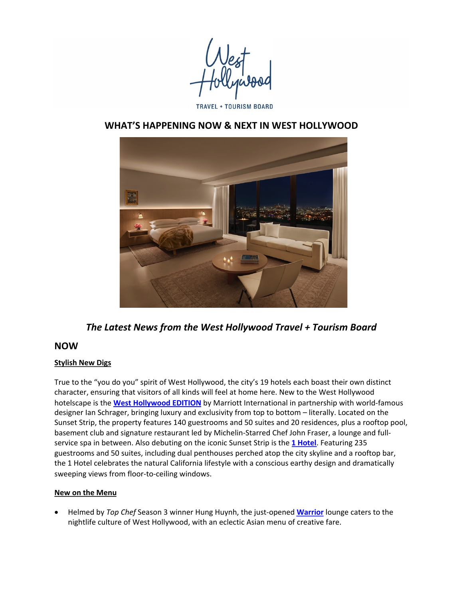# **TRAVEL + TOURISM BOARD**

# WHAT'S HAPPENING NOW & NEXT IN WEST HOLLYWOOD



The Latest News from the West Hollywood Travel + Tourism Board

# **NOW**

### **Stylish New Digs**

True to the "you do you" spirit of West Hollywood, the city's 19 hotels each boast their own distinct character, ensuring that visitors of all kinds will feel at home here. New to the West Hollywood hotelscape is the **West Hollywood EDITION** by Marriott International in partnership with world-famous designer lan Schrager, bringing luxury and exclusivity from top to bottom – literally. Located on the Sunset Strip, the property features 140 guestrooms and 50 suites and 20 residences, plus a rooftop pool, basement club and signature restaurant led by Michelin-Starred Chef John Fraser, a lounge and fullservice spa in between. Also debuting on the iconic Sunset Strip is the 1 Hotel. Featuring 235 guestrooms and 50 suites, including dual penthouses perched atop the city skyline and a rooftop bar, the 1 Hotel celebrates the natural California lifestyle with a conscious earthy design and dramatically sweeping views from floor-to-ceiling windows.

### **New on the Menu**

Helmed by *Top Chef* Season 3 winner Hung Huynh, the just-opened **Warrior** lounge caters to the nightlife culture of West Hollywood, with an eclectic Asian menu of creative fare.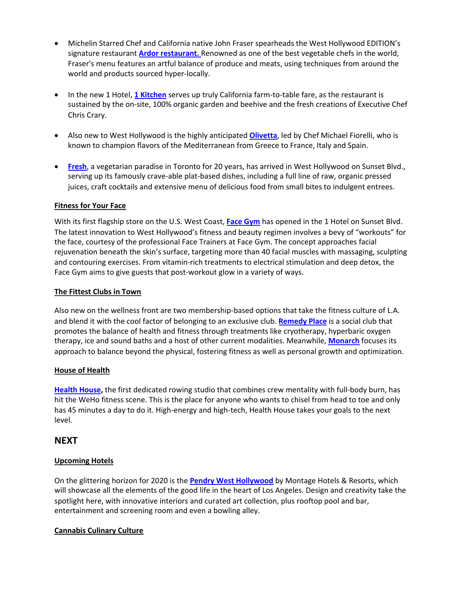- Michelin Starred Chef and California native John Fraser spearheads the West Hollywood EDITION's signature restaurant **Ardor restaurant.** Renowned as one of the best vegetable chefs in the world, Fraser's menu features an artful balance of produce and meats, using techniques from around the world and products sourced hyper-locally.
- In the new 1 Hotel, 1 Kitchen serves up truly California farm-to-table fare, as the restaurant is sustained by the on-site, 100% organic garden and beehive and the fresh creations of Executive Chef Chris Crary.
- Also new to West Hollywood is the highly anticipated **Olivetta**, led by Chef Michael Fiorelli, who is known to champion flavors of the Mediterranean from Greece to France, Italy and Spain.
- Fresh, a vegetarian paradise in Toronto for 20 years, has arrived in West Hollywood on Sunset Blvd., serving up its famously crave-able plat-based dishes, including a full line of raw, organic pressed juices, craft cocktails and extensive menu of delicious food from small bites to indulgent entrees.

### **Fitness for Your Face**

With its first flagship store on the U.S. West Coast, **Face Gym** has opened in the 1 Hotel on Sunset Blvd. The latest innovation to West Hollywood's fitness and beauty regimen involves a bevy of "workouts" for the face, courtesy of the professional Face Trainers at Face Gym. The concept approaches facial rejuvenation beneath the skin's surface, targeting more than 40 facial muscles with massaging, sculpting and contouring exercises. From vitamin-rich treatments to electrical stimulation and deep detox, the Face Gym aims to give guests that post-workout glow in a variety of ways.

### **The Fittest Clubs in Town**

Also new on the wellness front are two membership-based options that take the fitness culture of L.A. and blend it with the cool factor of belonging to an exclusive club. **Remedy Place** is a social club that promotes the balance of health and fitness through treatments like cryotherapy, hyperbaric oxygen therapy, ice and sound baths and a host of other current modalities. Meanwhile, **Monarch** focuses its approach to balance beyond the physical, fostering fitness as well as personal growth and optimization.

### **House of Health**

Health House, the first dedicated rowing studio that combines crew mentality with full-body burn, has hit the WeHo fitness scene. This is the place for anyone who wants to chisel from head to toe and only has 45 minutes a day to do it. High-energy and high-tech, Health House takes your goals to the next level. 

# **NEXT**

## **Upcoming Hotels**

On the glittering horizon for 2020 is the **Pendry West Hollywood** by Montage Hotels & Resorts, which will showcase all the elements of the good life in the heart of Los Angeles. Design and creativity take the spotlight here, with innovative interiors and curated art collection, plus rooftop pool and bar, entertainment and screening room and even a bowling alley.

### **Cannabis Culinary Culture**